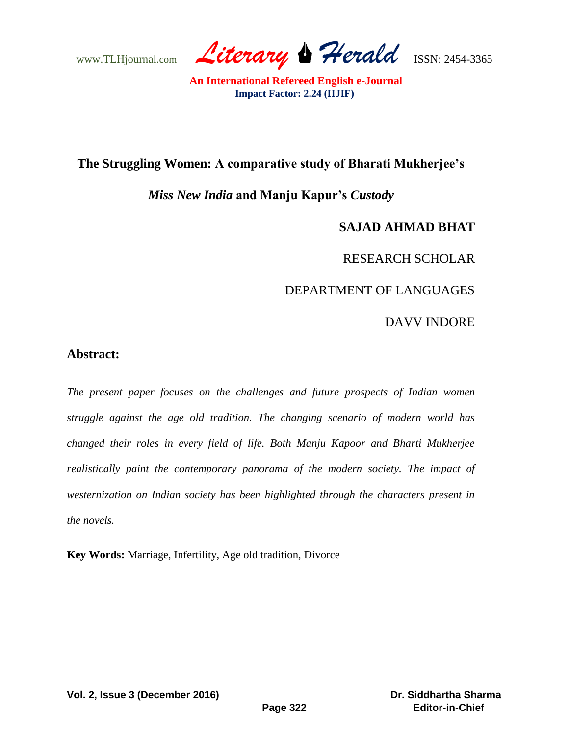www.TLHjournal.com *Literary Herald*ISSN: 2454-3365

### **The Struggling Women: A comparative study of Bharati Mukherjee's**

## *Miss New India* **and Manju Kapur's** *Custody*

# **SAJAD AHMAD BHAT**

## RESEARCH SCHOLAR

# DEPARTMENT OF LANGUAGES

## DAVV INDORE

## **Abstract:**

*The present paper focuses on the challenges and future prospects of Indian women struggle against the age old tradition. The changing scenario of modern world has changed their roles in every field of life. Both Manju Kapoor and Bharti Mukherjee realistically paint the contemporary panorama of the modern society. The impact of westernization on Indian society has been highlighted through the characters present in the novels.*

**Key Words:** Marriage, Infertility, Age old tradition, Divorce

**Vol. 2, Issue 3 (December 2016)**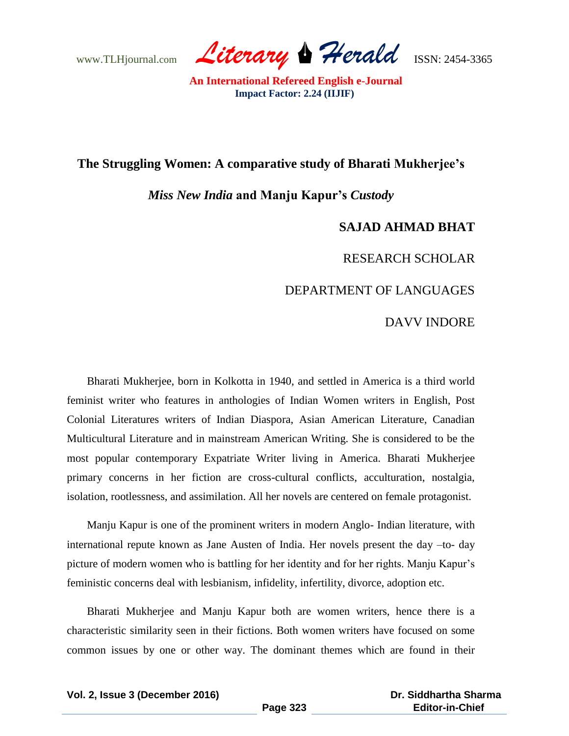www.TLHjournal.com *Literary Herald*ISSN: 2454-3365

### **The Struggling Women: A comparative study of Bharati Mukherjee's**

### *Miss New India* **and Manju Kapur's** *Custody*

## **SAJAD AHMAD BHAT**

#### RESEARCH SCHOLAR

#### DEPARTMENT OF LANGUAGES

#### DAVV INDORE

Bharati Mukherjee, born in Kolkotta in 1940, and settled in America is a third world feminist writer who features in anthologies of Indian Women writers in English, Post Colonial Literatures writers of Indian Diaspora, Asian American Literature, Canadian Multicultural Literature and in mainstream American Writing. She is considered to be the most popular contemporary Expatriate Writer living in America. Bharati Mukherjee primary concerns in her fiction are cross-cultural conflicts, acculturation, nostalgia, isolation, rootlessness, and assimilation. All her novels are centered on female protagonist.

Manju Kapur is one of the prominent writers in modern Anglo- Indian literature, with international repute known as Jane Austen of India. Her novels present the day –to- day picture of modern women who is battling for her identity and for her rights. Manju Kapur"s feministic concerns deal with lesbianism, infidelity, infertility, divorce, adoption etc.

Bharati Mukherjee and Manju Kapur both are women writers, hence there is a characteristic similarity seen in their fictions. Both women writers have focused on some common issues by one or other way. The dominant themes which are found in their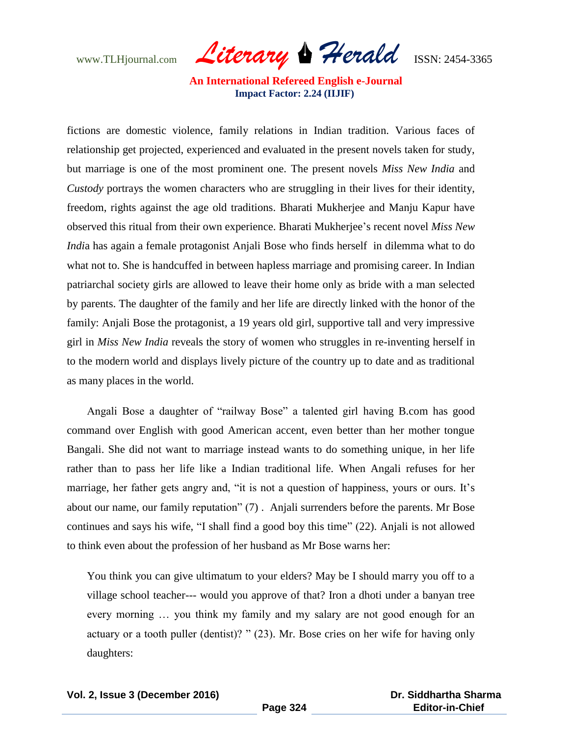www.TLHjournal.com *Literary Herald*ISSN: 2454-3365

fictions are domestic violence, family relations in Indian tradition. Various faces of relationship get projected, experienced and evaluated in the present novels taken for study, but marriage is one of the most prominent one. The present novels *Miss New India* and *Custody* portrays the women characters who are struggling in their lives for their identity, freedom, rights against the age old traditions. Bharati Mukherjee and Manju Kapur have observed this ritual from their own experience. Bharati Mukherjee"s recent novel *Miss New Indi*a has again a female protagonist Anjali Bose who finds herself in dilemma what to do what not to. She is handcuffed in between hapless marriage and promising career. In Indian patriarchal society girls are allowed to leave their home only as bride with a man selected by parents. The daughter of the family and her life are directly linked with the honor of the family: Anjali Bose the protagonist, a 19 years old girl, supportive tall and very impressive girl in *Miss New India* reveals the story of women who struggles in re-inventing herself in to the modern world and displays lively picture of the country up to date and as traditional as many places in the world.

Angali Bose a daughter of "railway Bose" a talented girl having B.com has good command over English with good American accent, even better than her mother tongue Bangali. She did not want to marriage instead wants to do something unique, in her life rather than to pass her life like a Indian traditional life. When Angali refuses for her marriage, her father gets angry and, "it is not a question of happiness, yours or ours. It's about our name, our family reputation" (7) . Anjali surrenders before the parents. Mr Bose continues and says his wife, "I shall find a good boy this time" (22). Anjali is not allowed to think even about the profession of her husband as Mr Bose warns her:

You think you can give ultimatum to your elders? May be I should marry you off to a village school teacher--- would you approve of that? Iron a dhoti under a banyan tree every morning … you think my family and my salary are not good enough for an actuary or a tooth puller (dentist)? " (23). Mr. Bose cries on her wife for having only daughters: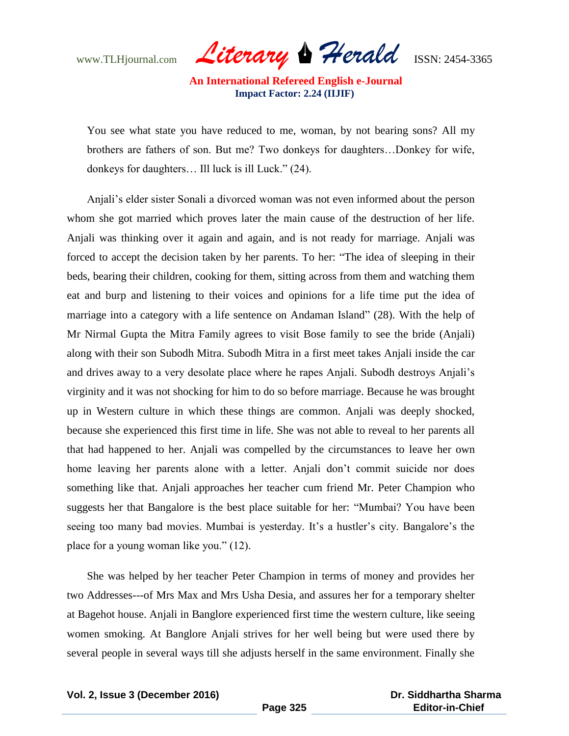www.TLHjournal.com *Literary Herald*ISSN: 2454-3365

You see what state you have reduced to me, woman, by not bearing sons? All my brothers are fathers of son. But me? Two donkeys for daughters…Donkey for wife, donkeys for daughters… Ill luck is ill Luck." (24).

Anjali"s elder sister Sonali a divorced woman was not even informed about the person whom she got married which proves later the main cause of the destruction of her life. Anjali was thinking over it again and again, and is not ready for marriage. Anjali was forced to accept the decision taken by her parents. To her: "The idea of sleeping in their beds, bearing their children, cooking for them, sitting across from them and watching them eat and burp and listening to their voices and opinions for a life time put the idea of marriage into a category with a life sentence on Andaman Island" (28). With the help of Mr Nirmal Gupta the Mitra Family agrees to visit Bose family to see the bride (Anjali) along with their son Subodh Mitra. Subodh Mitra in a first meet takes Anjali inside the car and drives away to a very desolate place where he rapes Anjali. Subodh destroys Anjali"s virginity and it was not shocking for him to do so before marriage. Because he was brought up in Western culture in which these things are common. Anjali was deeply shocked, because she experienced this first time in life. She was not able to reveal to her parents all that had happened to her. Anjali was compelled by the circumstances to leave her own home leaving her parents alone with a letter. Anjali don't commit suicide nor does something like that. Anjali approaches her teacher cum friend Mr. Peter Champion who suggests her that Bangalore is the best place suitable for her: "Mumbai? You have been seeing too many bad movies. Mumbai is yesterday. It's a hustler's city. Bangalore's the place for a young woman like you." (12).

She was helped by her teacher Peter Champion in terms of money and provides her two Addresses---of Mrs Max and Mrs Usha Desia, and assures her for a temporary shelter at Bagehot house. Anjali in Banglore experienced first time the western culture, like seeing women smoking. At Banglore Anjali strives for her well being but were used there by several people in several ways till she adjusts herself in the same environment. Finally she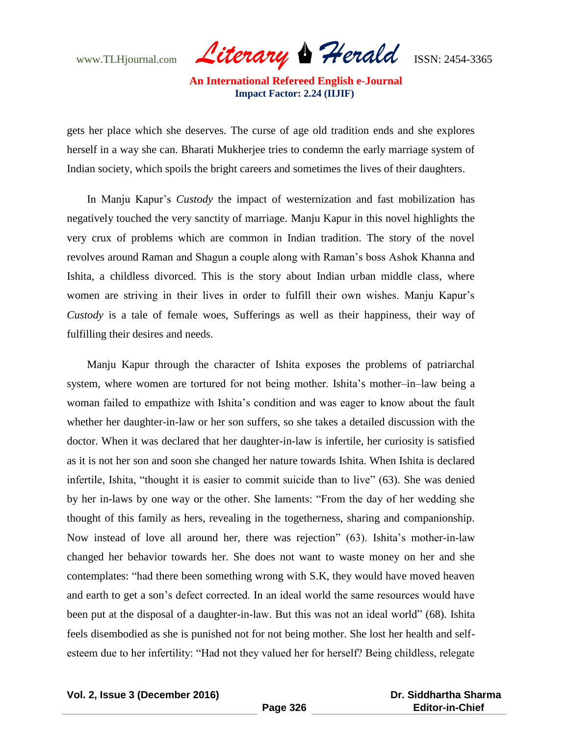www.TLHjournal.com *Literary Herald*ISSN: 2454-3365

gets her place which she deserves. The curse of age old tradition ends and she explores herself in a way she can. Bharati Mukherjee tries to condemn the early marriage system of Indian society, which spoils the bright careers and sometimes the lives of their daughters.

In Manju Kapur"s *Custody* the impact of westernization and fast mobilization has negatively touched the very sanctity of marriage. Manju Kapur in this novel highlights the very crux of problems which are common in Indian tradition. The story of the novel revolves around Raman and Shagun a couple along with Raman"s boss Ashok Khanna and Ishita, a childless divorced. This is the story about Indian urban middle class, where women are striving in their lives in order to fulfill their own wishes. Manju Kapur"s *Custody* is a tale of female woes, Sufferings as well as their happiness, their way of fulfilling their desires and needs.

Manju Kapur through the character of Ishita exposes the problems of patriarchal system, where women are tortured for not being mother. Ishita's mother–in–law being a woman failed to empathize with Ishita"s condition and was eager to know about the fault whether her daughter-in-law or her son suffers, so she takes a detailed discussion with the doctor. When it was declared that her daughter-in-law is infertile, her curiosity is satisfied as it is not her son and soon she changed her nature towards Ishita. When Ishita is declared infertile, Ishita, "thought it is easier to commit suicide than to live" (63). She was denied by her in-laws by one way or the other. She laments: "From the day of her wedding she thought of this family as hers, revealing in the togetherness, sharing and companionship. Now instead of love all around her, there was rejection" (63). Ishita"s mother-in-law changed her behavior towards her. She does not want to waste money on her and she contemplates: "had there been something wrong with S.K, they would have moved heaven and earth to get a son"s defect corrected. In an ideal world the same resources would have been put at the disposal of a daughter-in-law. But this was not an ideal world" (68). Ishita feels disembodied as she is punished not for not being mother. She lost her health and selfesteem due to her infertility: "Had not they valued her for herself? Being childless, relegate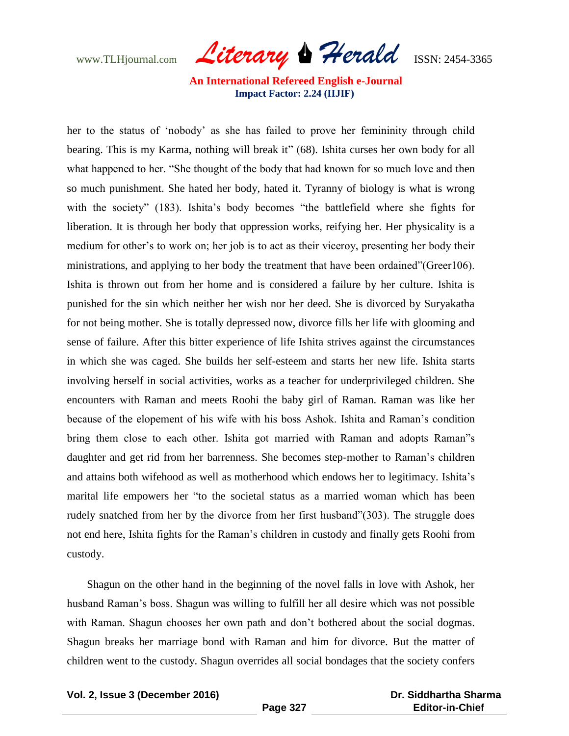www.TLHjournal.com *Literary Herald*ISSN: 2454-3365

her to the status of "nobody" as she has failed to prove her femininity through child bearing. This is my Karma, nothing will break it" (68). Ishita curses her own body for all what happened to her. "She thought of the body that had known for so much love and then so much punishment. She hated her body, hated it. Tyranny of biology is what is wrong with the society" (183). Ishita's body becomes "the battlefield where she fights for liberation. It is through her body that oppression works, reifying her. Her physicality is a medium for other's to work on; her job is to act as their viceroy, presenting her body their ministrations, and applying to her body the treatment that have been ordained"(Greer106). Ishita is thrown out from her home and is considered a failure by her culture. Ishita is punished for the sin which neither her wish nor her deed. She is divorced by Suryakatha for not being mother. She is totally depressed now, divorce fills her life with glooming and sense of failure. After this bitter experience of life Ishita strives against the circumstances in which she was caged. She builds her self-esteem and starts her new life. Ishita starts involving herself in social activities, works as a teacher for underprivileged children. She encounters with Raman and meets Roohi the baby girl of Raman. Raman was like her because of the elopement of his wife with his boss Ashok. Ishita and Raman"s condition bring them close to each other. Ishita got married with Raman and adopts Raman"s daughter and get rid from her barrenness. She becomes step-mother to Raman"s children and attains both wifehood as well as motherhood which endows her to legitimacy. Ishita"s marital life empowers her "to the societal status as a married woman which has been rudely snatched from her by the divorce from her first husband"(303). The struggle does not end here, Ishita fights for the Raman"s children in custody and finally gets Roohi from custody.

Shagun on the other hand in the beginning of the novel falls in love with Ashok, her husband Raman"s boss. Shagun was willing to fulfill her all desire which was not possible with Raman. Shagun chooses her own path and don't bothered about the social dogmas. Shagun breaks her marriage bond with Raman and him for divorce. But the matter of children went to the custody. Shagun overrides all social bondages that the society confers